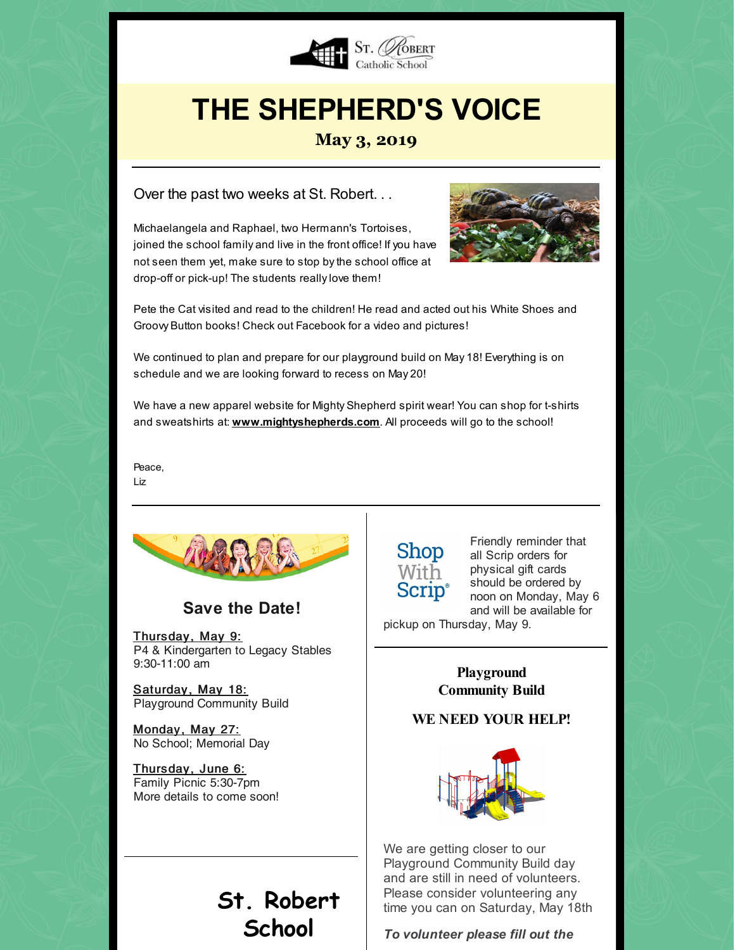

# **THE SHEPHERD'S VOICE**

#### **May 3, 2019**

Over the past two weeks at St. Robert. . .

Michaelangela and Raphael, two Hermann's Tortoises, joined the school family and live in the front office! If you have not seen them yet, make sure to stop bythe school office at drop-off or pick-up! The students really love them!



Pete the Cat visited and read to the children! He read and acted out his White Shoes and Groovy Button books! Check out Facebook for a video and pictures!

We continued to plan and prepare for our playground build on May 18! Everything is on schedule and we are looking forward to recess on May 20!

We have a new apparel website for Mighty Shepherd spirit wear! You can shop for t-shirts and sweatshirts at: **[www.mightyshepherds.com](http://www.mightyshepherds.com/)**. All proceeds will go to the school!

Peace,

Liz



**Save the Date!**

Thursday, May 9: P4 & Kindergarten to Legacy Stables 9:30-11:00 am

Saturday, May 18: Playground Community Build

Monday, May 27: No School; Memorial Day

Thursday, June 6: Family Picnic 5:30-7pm More details to come soon!

### **St. Robert School**

### **Shop** With **Scrip**®

Friendly reminder that all Scrip orders for physical gift cards should be ordered by noon on Monday, May 6 and will be available for

pickup on Thursday, May 9.

**Playground Community Build**

#### **WE NEED YOUR HELP!**



We are getting closer to our Playground Community Build day and are still in need of volunteers. Please consider volunteering any time you can on Saturday, May 18th

*To volunteer please fill out the*